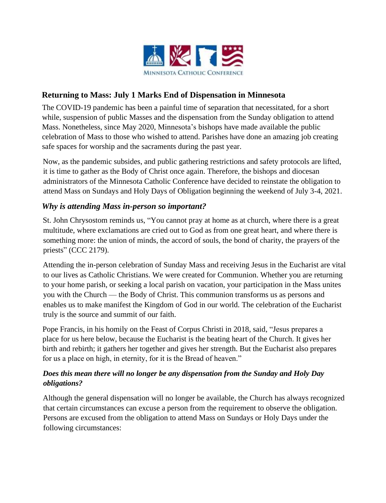

## **Returning to Mass: July 1 Marks End of Dispensation in Minnesota**

The COVID-19 pandemic has been a painful time of separation that necessitated, for a short while, suspension of public Masses and the dispensation from the Sunday obligation to attend Mass. Nonetheless, since May 2020, Minnesota's bishops have made available the public celebration of Mass to those who wished to attend. Parishes have done an amazing job creating safe spaces for worship and the sacraments during the past year.

Now, as the pandemic subsides, and public gathering restrictions and safety protocols are lifted, it is time to gather as the Body of Christ once again. Therefore, the bishops and diocesan administrators of the Minnesota Catholic Conference have decided to reinstate the obligation to attend Mass on Sundays and Holy Days of Obligation beginning the weekend of July 3-4, 2021.

## *Why is attending Mass in-person so important?*

St. John Chrysostom reminds us, "You cannot pray at home as at church, where there is a great multitude, where exclamations are cried out to God as from one great heart, and where there is something more: the union of minds, the accord of souls, the bond of charity, the prayers of the priests" (CCC 2179).

Attending the in-person celebration of Sunday Mass and receiving Jesus in the Eucharist are vital to our lives as Catholic Christians. We were created for Communion. Whether you are returning to your home parish, or seeking a local parish on vacation, your participation in the Mass unites you with the Church — the Body of Christ. This communion transforms us as persons and enables us to make manifest the Kingdom of God in our world. The celebration of the Eucharist truly is the source and summit of our faith.

Pope Francis, in his homily on the Feast of Corpus Christi in 2018, said, "Jesus prepares a place for us here below, because the Eucharist is the beating heart of the Church. It gives her birth and rebirth; it gathers her together and gives her strength. But the Eucharist also prepares for us a place on high, in eternity, for it is the Bread of heaven."

## *Does this mean there will no longer be any dispensation from the Sunday and Holy Day obligations?*

Although the general dispensation will no longer be available, the Church has always recognized that certain circumstances can excuse a person from the requirement to observe the obligation. Persons are excused from the obligation to attend Mass on Sundays or Holy Days under the following circumstances: